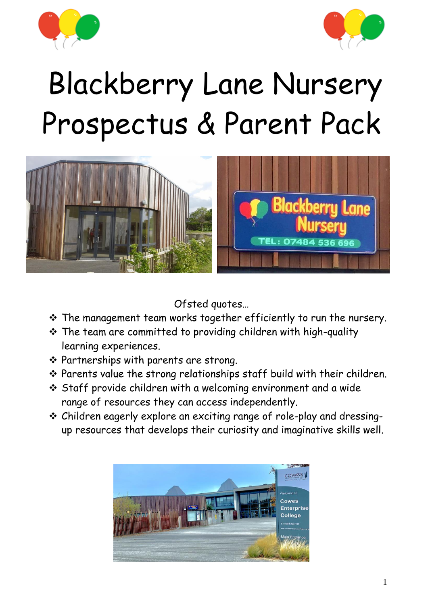



# Blackberry Lane Nursery Prospectus & Parent Pack



Ofsted quotes…

- ❖ The management team works together efficiently to run the nursery.
- ❖ The team are committed to providing children with high-quality learning experiences.
- ❖ Partnerships with parents are strong.
- ❖ Parents value the strong relationships staff build with their children.
- ❖ Staff provide children with a welcoming environment and a wide range of resources they can access independently.
- ❖ Children eagerly explore an exciting range of role-play and dressingup resources that develops their curiosity and imaginative skills well.

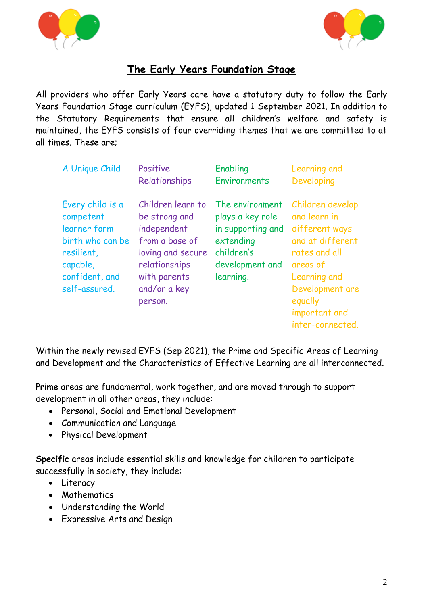



# **The Early Years Foundation Stage**

All providers who offer Early Years care have a statutory duty to follow the Early Years Foundation Stage curriculum (EYFS), updated 1 September 2021. In addition to the Statutory Requirements that ensure all children's welfare and safety is maintained, the EYFS consists of four overriding themes that we are committed to at all times. These are;

| A Unique Child                                                                                                                 | Positive                                                                                                                                             | Enabling                                                                                                            | Learning and                                                                                                                                                                           |
|--------------------------------------------------------------------------------------------------------------------------------|------------------------------------------------------------------------------------------------------------------------------------------------------|---------------------------------------------------------------------------------------------------------------------|----------------------------------------------------------------------------------------------------------------------------------------------------------------------------------------|
|                                                                                                                                | Relationships                                                                                                                                        | <b>Environments</b>                                                                                                 | Developing                                                                                                                                                                             |
| Every child is a<br>competent<br>learner form<br>birth who can be<br>resilient,<br>capable,<br>confident, and<br>self-assured. | Children learn to<br>be strong and<br>independent<br>from a base of<br>loving and secure<br>relationships<br>with parents<br>and/or a key<br>person. | The environment<br>plays a key role<br>in supporting and<br>extending<br>children's<br>development and<br>learning. | Children develop<br>and learn in<br>different ways<br>and at different<br>rates and all<br>areas of<br>Learning and<br>Development are<br>equally<br>important and<br>inter-connected. |

Within the newly revised EYFS (Sep 2021), the Prime and Specific Areas of Learning and Development and the Characteristics of Effective Learning are all interconnected.

**Prime** areas are fundamental, work together, and are moved through to support development in all other areas, they include:

- Personal, Social and Emotional Development
- Communication and Language
- Physical Development

**Specific** areas include essential skills and knowledge for children to participate successfully in society, they include:

- Literacy
- Mathematics
- Understanding the World
- Expressive Arts and Design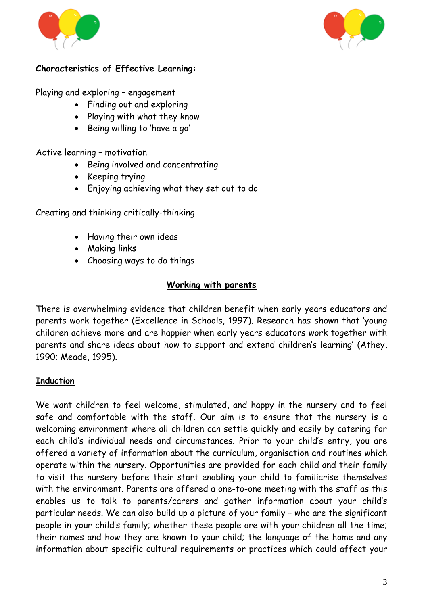



# **Characteristics of Effective Learning:**

Playing and exploring – engagement

- Finding out and exploring
- Playing with what they know
- Being willing to 'have a go'

Active learning – motivation

- Being involved and concentrating
- Keeping trying
- Enjoying achieving what they set out to do

Creating and thinking critically-thinking

- Having their own ideas
- Making links
- Choosing ways to do things

#### **Working with parents**

There is overwhelming evidence that children benefit when early years educators and parents work together (Excellence in Schools, 1997). Research has shown that 'young children achieve more and are happier when early years educators work together with parents and share ideas about how to support and extend children's learning' (Athey, 1990; Meade, 1995).

#### **Induction**

We want children to feel welcome, stimulated, and happy in the nursery and to feel safe and comfortable with the staff. Our aim is to ensure that the nursery is a welcoming environment where all children can settle quickly and easily by catering for each child's individual needs and circumstances. Prior to your child's entry, you are offered a variety of information about the curriculum, organisation and routines which operate within the nursery. Opportunities are provided for each child and their family to visit the nursery before their start enabling your child to familiarise themselves with the environment. Parents are offered a one-to-one meeting with the staff as this enables us to talk to parents/carers and gather information about your child's particular needs. We can also build up a picture of your family – who are the significant people in your child's family; whether these people are with your children all the time; their names and how they are known to your child; the language of the home and any information about specific cultural requirements or practices which could affect your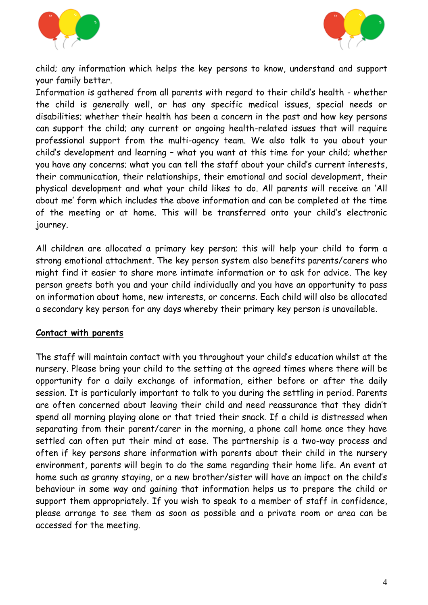



child; any information which helps the key persons to know, understand and support your family better.

Information is gathered from all parents with regard to their child's health - whether the child is generally well, or has any specific medical issues, special needs or disabilities; whether their health has been a concern in the past and how key persons can support the child; any current or ongoing health-related issues that will require professional support from the multi-agency team. We also talk to you about your child's development and learning – what you want at this time for your child; whether you have any concerns; what you can tell the staff about your child's current interests, their communication, their relationships, their emotional and social development, their physical development and what your child likes to do. All parents will receive an 'All about me' form which includes the above information and can be completed at the time of the meeting or at home. This will be transferred onto your child's electronic journey.

All children are allocated a primary key person; this will help your child to form a strong emotional attachment. The key person system also benefits parents/carers who might find it easier to share more intimate information or to ask for advice. The key person greets both you and your child individually and you have an opportunity to pass on information about home, new interests, or concerns. Each child will also be allocated a secondary key person for any days whereby their primary key person is unavailable.

#### **Contact with parents**

The staff will maintain contact with you throughout your child's education whilst at the nursery. Please bring your child to the setting at the agreed times where there will be opportunity for a daily exchange of information, either before or after the daily session. It is particularly important to talk to you during the settling in period. Parents are often concerned about leaving their child and need reassurance that they didn't spend all morning playing alone or that tried their snack. If a child is distressed when separating from their parent/carer in the morning, a phone call home once they have settled can often put their mind at ease. The partnership is a two-way process and often if key persons share information with parents about their child in the nursery environment, parents will begin to do the same regarding their home life. An event at home such as granny staying, or a new brother/sister will have an impact on the child's behaviour in some way and gaining that information helps us to prepare the child or support them appropriately. If you wish to speak to a member of staff in confidence, please arrange to see them as soon as possible and a private room or area can be accessed for the meeting.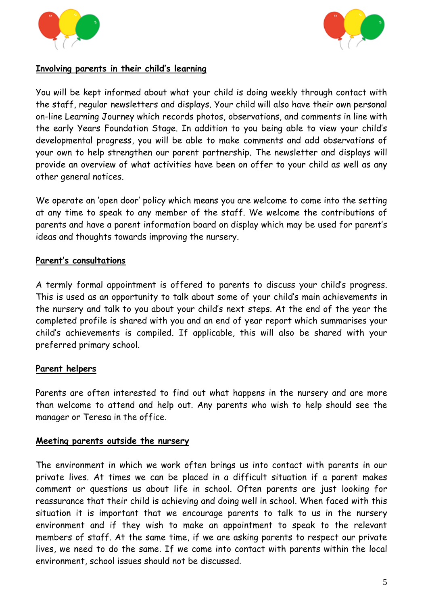



#### **Involving parents in their child's learning**

You will be kept informed about what your child is doing weekly through contact with the staff, regular newsletters and displays. Your child will also have their own personal on-line Learning Journey which records photos, observations, and comments in line with the early Years Foundation Stage. In addition to you being able to view your child's developmental progress, you will be able to make comments and add observations of your own to help strengthen our parent partnership. The newsletter and displays will provide an overview of what activities have been on offer to your child as well as any other general notices.

We operate an 'open door' policy which means you are welcome to come into the setting at any time to speak to any member of the staff. We welcome the contributions of parents and have a parent information board on display which may be used for parent's ideas and thoughts towards improving the nursery.

#### **Parent's consultations**

A termly formal appointment is offered to parents to discuss your child's progress. This is used as an opportunity to talk about some of your child's main achievements in the nursery and talk to you about your child's next steps. At the end of the year the completed profile is shared with you and an end of year report which summarises your child's achievements is compiled. If applicable, this will also be shared with your preferred primary school.

# **Parent helpers**

Parents are often interested to find out what happens in the nursery and are more than welcome to attend and help out. Any parents who wish to help should see the manager or Teresa in the office.

#### **Meeting parents outside the nursery**

The environment in which we work often brings us into contact with parents in our private lives. At times we can be placed in a difficult situation if a parent makes comment or questions us about life in school. Often parents are just looking for reassurance that their child is achieving and doing well in school. When faced with this situation it is important that we encourage parents to talk to us in the nursery environment and if they wish to make an appointment to speak to the relevant members of staff. At the same time, if we are asking parents to respect our private lives, we need to do the same. If we come into contact with parents within the local environment, school issues should not be discussed.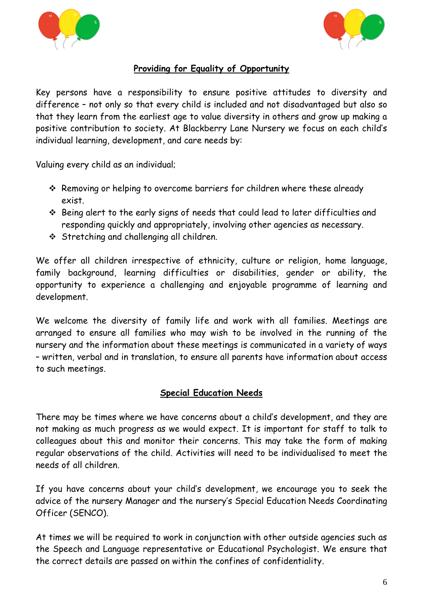



# **Providing for Equality of Opportunity**

Key persons have a responsibility to ensure positive attitudes to diversity and difference – not only so that every child is included and not disadvantaged but also so that they learn from the earliest age to value diversity in others and grow up making a positive contribution to society. At Blackberry Lane Nursery we focus on each child's individual learning, development, and care needs by:

Valuing every child as an individual;

- ❖ Removing or helping to overcome barriers for children where these already exist.
- ❖ Being alert to the early signs of needs that could lead to later difficulties and responding quickly and appropriately, involving other agencies as necessary.
- ❖ Stretching and challenging all children.

We offer all children irrespective of ethnicity, culture or religion, home language, family background, learning difficulties or disabilities, gender or ability, the opportunity to experience a challenging and enjoyable programme of learning and development.

We welcome the diversity of family life and work with all families. Meetings are arranged to ensure all families who may wish to be involved in the running of the nursery and the information about these meetings is communicated in a variety of ways – written, verbal and in translation, to ensure all parents have information about access to such meetings.

#### **Special Education Needs**

There may be times where we have concerns about a child's development, and they are not making as much progress as we would expect. It is important for staff to talk to colleagues about this and monitor their concerns. This may take the form of making regular observations of the child. Activities will need to be individualised to meet the needs of all children.

If you have concerns about your child's development, we encourage you to seek the advice of the nursery Manager and the nursery's Special Education Needs Coordinating Officer (SENCO).

At times we will be required to work in conjunction with other outside agencies such as the Speech and Language representative or Educational Psychologist. We ensure that the correct details are passed on within the confines of confidentiality.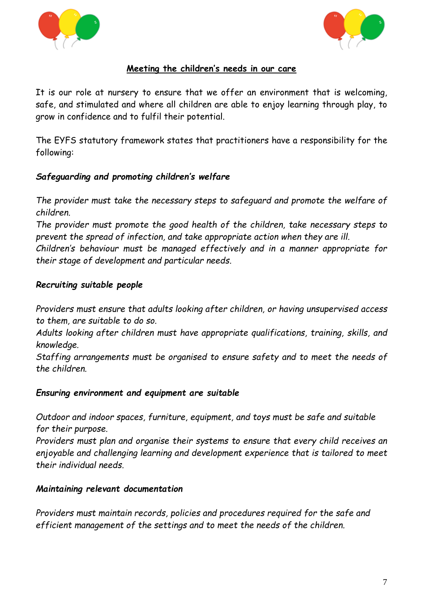



# **Meeting the children's needs in our care**

It is our role at nursery to ensure that we offer an environment that is welcoming, safe, and stimulated and where all children are able to enjoy learning through play, to grow in confidence and to fulfil their potential.

The EYFS statutory framework states that practitioners have a responsibility for the following:

# *Safeguarding and promoting children's welfare*

*The provider must take the necessary steps to safeguard and promote the welfare of children.* 

*The provider must promote the good health of the children, take necessary steps to prevent the spread of infection, and take appropriate action when they are ill.*

*Children's behaviour must be managed effectively and in a manner appropriate for their stage of development and particular needs.*

# *Recruiting suitable people*

*Providers must ensure that adults looking after children, or having unsupervised access to them, are suitable to do so.*

*Adults looking after children must have appropriate qualifications, training, skills, and knowledge.*

*Staffing arrangements must be organised to ensure safety and to meet the needs of the children.*

# *Ensuring environment and equipment are suitable*

*Outdoor and indoor spaces, furniture, equipment, and toys must be safe and suitable for their purpose.*

*Providers must plan and organise their systems to ensure that every child receives an enjoyable and challenging learning and development experience that is tailored to meet their individual needs.* 

# *Maintaining relevant documentation*

*Providers must maintain records, policies and procedures required for the safe and efficient management of the settings and to meet the needs of the children.*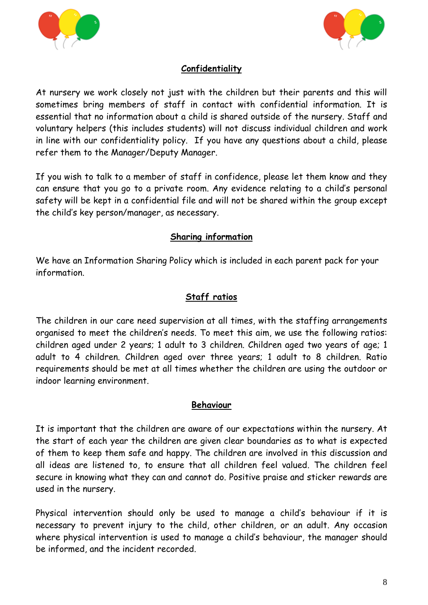



# **Confidentiality**

At nursery we work closely not just with the children but their parents and this will sometimes bring members of staff in contact with confidential information. It is essential that no information about a child is shared outside of the nursery. Staff and voluntary helpers (this includes students) will not discuss individual children and work in line with our confidentiality policy. If you have any questions about a child, please refer them to the Manager/Deputy Manager.

If you wish to talk to a member of staff in confidence, please let them know and they can ensure that you go to a private room. Any evidence relating to a child's personal safety will be kept in a confidential file and will not be shared within the group except the child's key person/manager, as necessary.

# **Sharing information**

We have an Information Sharing Policy which is included in each parent pack for your information.

# **Staff ratios**

The children in our care need supervision at all times, with the staffing arrangements organised to meet the children's needs. To meet this aim, we use the following ratios: children aged under 2 years; 1 adult to 3 children. Children aged two years of age; 1 adult to 4 children. Children aged over three years; 1 adult to 8 children. Ratio requirements should be met at all times whether the children are using the outdoor or indoor learning environment.

#### **Behaviour**

It is important that the children are aware of our expectations within the nursery. At the start of each year the children are given clear boundaries as to what is expected of them to keep them safe and happy. The children are involved in this discussion and all ideas are listened to, to ensure that all children feel valued. The children feel secure in knowing what they can and cannot do. Positive praise and sticker rewards are used in the nursery.

Physical intervention should only be used to manage a child's behaviour if it is necessary to prevent injury to the child, other children, or an adult. Any occasion where physical intervention is used to manage a child's behaviour, the manager should be informed, and the incident recorded.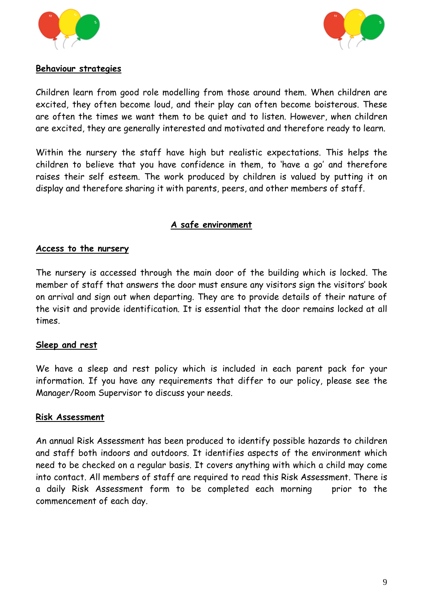



#### **Behaviour strategies**

Children learn from good role modelling from those around them. When children are excited, they often become loud, and their play can often become boisterous. These are often the times we want them to be quiet and to listen. However, when children are excited, they are generally interested and motivated and therefore ready to learn.

Within the nursery the staff have high but realistic expectations. This helps the children to believe that you have confidence in them, to 'have a go' and therefore raises their self esteem. The work produced by children is valued by putting it on display and therefore sharing it with parents, peers, and other members of staff.

# **A safe environment**

#### **Access to the nursery**

The nursery is accessed through the main door of the building which is locked. The member of staff that answers the door must ensure any visitors sign the visitors' book on arrival and sign out when departing. They are to provide details of their nature of the visit and provide identification. It is essential that the door remains locked at all times.

#### **Sleep and rest**

We have a sleep and rest policy which is included in each parent pack for your information. If you have any requirements that differ to our policy, please see the Manager/Room Supervisor to discuss your needs.

#### **Risk Assessment**

An annual Risk Assessment has been produced to identify possible hazards to children and staff both indoors and outdoors. It identifies aspects of the environment which need to be checked on a regular basis. It covers anything with which a child may come into contact. All members of staff are required to read this Risk Assessment. There is a daily Risk Assessment form to be completed each morning prior to the commencement of each day.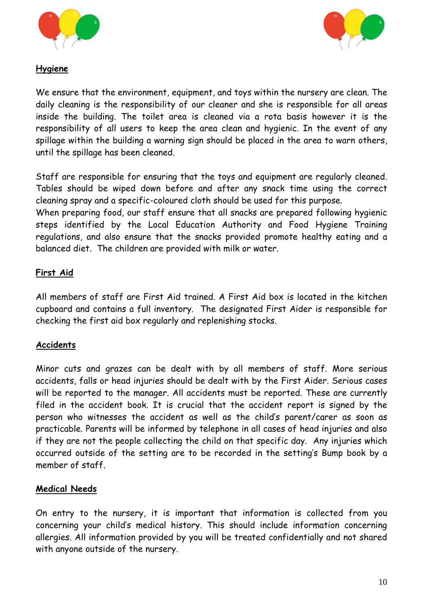



# **Hygiene**

We ensure that the environment, equipment, and toys within the nursery are clean. The daily cleaning is the responsibility of our cleaner and she is responsible for all areas inside the building. The toilet area is cleaned via a rota basis however it is the responsibility of all users to keep the area clean and hygienic. In the event of any spillage within the building a warning sign should be placed in the area to warn others, until the spillage has been cleaned.

Staff are responsible for ensuring that the toys and equipment are regularly cleaned. Tables should be wiped down before and after any snack time using the correct cleaning spray and a specific-coloured cloth should be used for this purpose.

When preparing food, our staff ensure that all snacks are prepared following hygienic steps identified by the Local Education Authority and Food Hygiene Training regulations, and also ensure that the snacks provided promote healthy eating and a balanced diet. The children are provided with milk or water.

# **First Aid**

All members of staff are First Aid trained. A First Aid box is located in the kitchen cupboard and contains a full inventory. The designated First Aider is responsible for checking the first aid box regularly and replenishing stocks.

# **Accidents**

Minor cuts and grazes can be dealt with by all members of staff. More serious accidents, falls or head injuries should be dealt with by the First Aider. Serious cases will be reported to the manager. All accidents must be reported. These are currently filed in the accident book. It is crucial that the accident report is signed by the person who witnesses the accident as well as the child's parent/carer as soon as practicable. Parents will be informed by telephone in all cases of head injuries and also if they are not the people collecting the child on that specific day. Any injuries which occurred outside of the setting are to be recorded in the setting's Bump book by a member of staff.

# **Medical Needs**

On entry to the nursery, it is important that information is collected from you concerning your child's medical history. This should include information concerning allergies. All information provided by you will be treated confidentially and not shared with anyone outside of the nursery.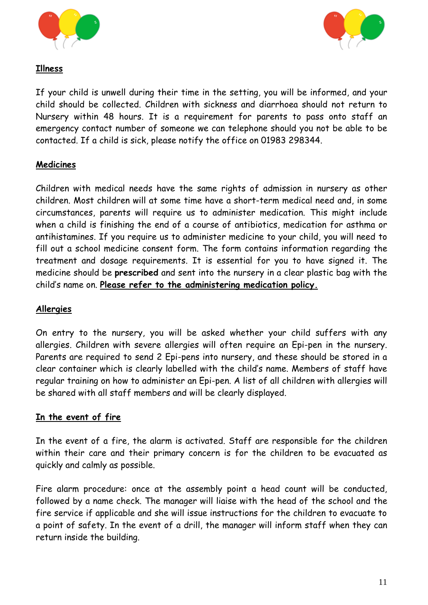



# **Illness**

If your child is unwell during their time in the setting, you will be informed, and your child should be collected. Children with sickness and diarrhoea should not return to Nursery within 48 hours. It is a requirement for parents to pass onto staff an emergency contact number of someone we can telephone should you not be able to be contacted. If a child is sick, please notify the office on 01983 298344.

# **Medicines**

Children with medical needs have the same rights of admission in nursery as other children. Most children will at some time have a short-term medical need and, in some circumstances, parents will require us to administer medication. This might include when a child is finishing the end of a course of antibiotics, medication for asthma or antihistamines. If you require us to administer medicine to your child, you will need to fill out a school medicine consent form. The form contains information regarding the treatment and dosage requirements. It is essential for you to have signed it. The medicine should be **prescribed** and sent into the nursery in a clear plastic bag with the child's name on. **Please refer to the administering medication policy.**

# **Allergies**

On entry to the nursery, you will be asked whether your child suffers with any allergies. Children with severe allergies will often require an Epi-pen in the nursery. Parents are required to send 2 Epi-pens into nursery, and these should be stored in a clear container which is clearly labelled with the child's name. Members of staff have regular training on how to administer an Epi-pen. A list of all children with allergies will be shared with all staff members and will be clearly displayed.

# **In the event of fire**

In the event of a fire, the alarm is activated. Staff are responsible for the children within their care and their primary concern is for the children to be evacuated as quickly and calmly as possible.

Fire alarm procedure: once at the assembly point a head count will be conducted, followed by a name check. The manager will liaise with the head of the school and the fire service if applicable and she will issue instructions for the children to evacuate to a point of safety. In the event of a drill, the manager will inform staff when they can return inside the building.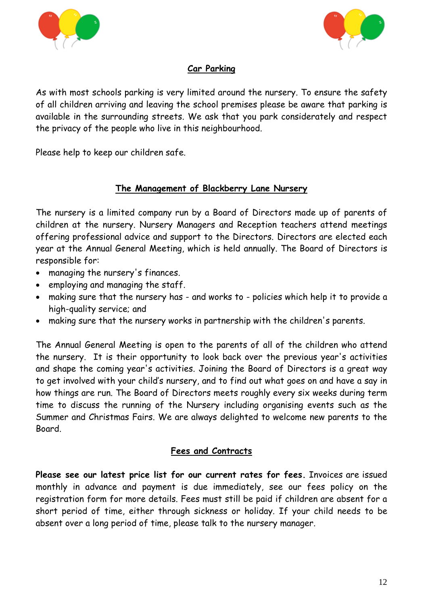



# **Car Parking**

As with most schools parking is very limited around the nursery. To ensure the safety of all children arriving and leaving the school premises please be aware that parking is available in the surrounding streets. We ask that you park considerately and respect the privacy of the people who live in this neighbourhood.

Please help to keep our children safe.

# **The Management of Blackberry Lane Nursery**

The nursery is a limited company run by a Board of Directors made up of parents of children at the nursery. Nursery Managers and Reception teachers attend meetings offering professional advice and support to the Directors. Directors are elected each year at the Annual General Meeting, which is held annually. The Board of Directors is responsible for:

- managing the nursery's finances.
- employing and managing the staff.
- making sure that the nursery has and works to policies which help it to provide a high-quality service; and
- making sure that the nursery works in partnership with the children's parents.

The Annual General Meeting is open to the parents of all of the children who attend the nursery. It is their opportunity to look back over the previous year's activities and shape the coming year's activities. Joining the Board of Directors is a great way to get involved with your child's nursery, and to find out what goes on and have a say in how things are run. The Board of Directors meets roughly every six weeks during term time to discuss the running of the Nursery including organising events such as the Summer and Christmas Fairs. We are always delighted to welcome new parents to the Board.

#### **Fees and Contracts**

**Please see our latest price list for our current rates for fees.** Invoices are issued monthly in advance and payment is due immediately, see our fees policy on the registration form for more details. Fees must still be paid if children are absent for a short period of time, either through sickness or holiday. If your child needs to be absent over a long period of time, please talk to the nursery manager.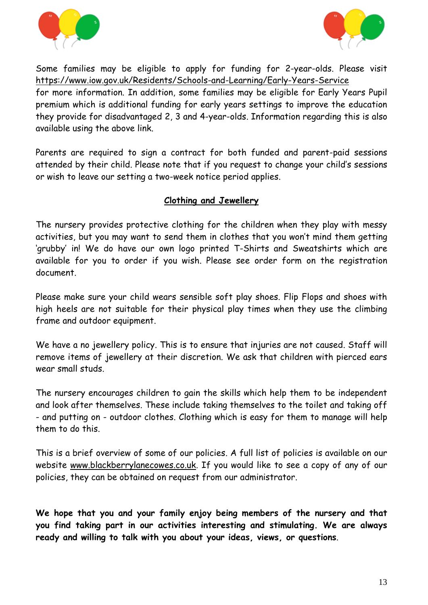



Some families may be eligible to apply for funding for 2-year-olds. Please visit <https://www.iow.gov.uk/Residents/Schools-and-Learning/Early-Years-Service>

for more information. In addition, some families may be eligible for Early Years Pupil premium which is additional funding for early years settings to improve the education they provide for disadvantaged 2, 3 and 4-year-olds. Information regarding this is also available using the above link.

Parents are required to sign a contract for both funded and parent-paid sessions attended by their child. Please note that if you request to change your child's sessions or wish to leave our setting a two-week notice period applies.

# **Clothing and Jewellery**

The nursery provides protective clothing for the children when they play with messy activities, but you may want to send them in clothes that you won't mind them getting 'grubby' in! We do have our own logo printed T-Shirts and Sweatshirts which are available for you to order if you wish. Please see order form on the registration document.

Please make sure your child wears sensible soft play shoes. Flip Flops and shoes with high heels are not suitable for their physical play times when they use the climbing frame and outdoor equipment.

We have a no jewellery policy. This is to ensure that injuries are not caused. Staff will remove items of jewellery at their discretion. We ask that children with pierced ears wear small studs.

The nursery encourages children to gain the skills which help them to be independent and look after themselves. These include taking themselves to the toilet and taking off - and putting on - outdoor clothes. Clothing which is easy for them to manage will help them to do this.

This is a brief overview of some of our policies. A full list of policies is available on our website [www.blackberrylanecowes.co.uk.](http://www.blackberrylanecowes.co.uk/) If you would like to see a copy of any of our policies, they can be obtained on request from our administrator.

**We hope that you and your family enjoy being members of the nursery and that you find taking part in our activities interesting and stimulating. We are always ready and willing to talk with you about your ideas, views, or questions**.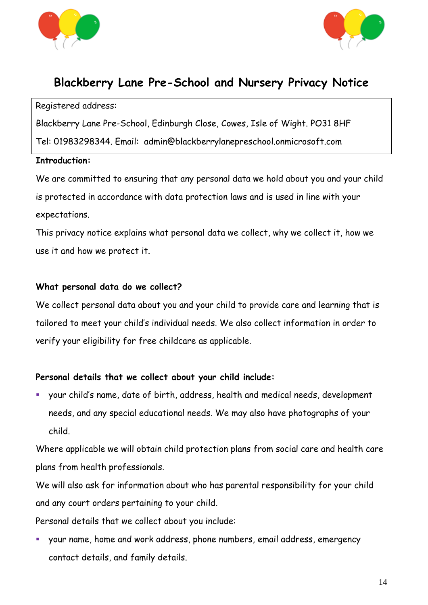



# **Blackberry Lane Pre-School and Nursery Privacy Notice**

#### Registered address:

Blackberry Lane Pre-School, Edinburgh Close, Cowes, Isle of Wight. PO31 8HF

Tel: 01983298344. Email: admin@blackberrylanepreschool.onmicrosoft.com

#### **Introduction:**

We are committed to ensuring that any personal data we hold about you and your child is protected in accordance with data protection laws and is used in line with your expectations.

This privacy notice explains what personal data we collect, why we collect it, how we use it and how we protect it.

#### **What personal data do we collect?**

We collect personal data about you and your child to provide care and learning that is tailored to meet your child's individual needs. We also collect information in order to verify your eligibility for free childcare as applicable.

# **Personal details that we collect about your child include:**

▪ your child's name, date of birth, address, health and medical needs, development needs, and any special educational needs. We may also have photographs of your child.

Where applicable we will obtain child protection plans from social care and health care plans from health professionals.

We will also ask for information about who has parental responsibility for your child and any court orders pertaining to your child.

Personal details that we collect about you include:

▪ your name, home and work address, phone numbers, email address, emergency contact details, and family details.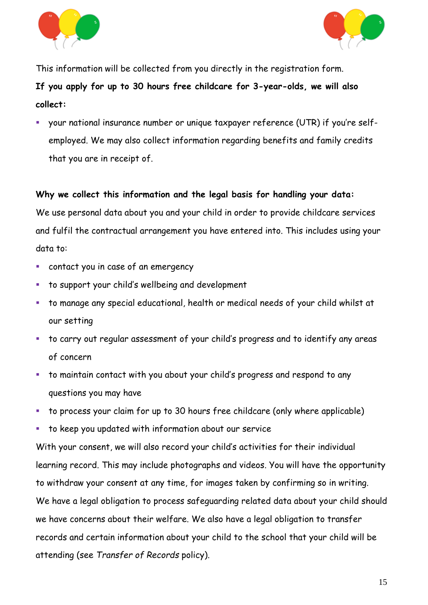



This information will be collected from you directly in the registration form.

**If you apply for up to 30 hours free childcare for 3-year-olds, we will also collect:**

your national insurance number or unique taxpayer reference (UTR) if you're selfemployed. We may also collect information regarding benefits and family credits that you are in receipt of.

# **Why we collect this information and the legal basis for handling your data:**

We use personal data about you and your child in order to provide childcare services and fulfil the contractual arrangement you have entered into. This includes using your data to:

- contact you in case of an emergency
- to support your child's wellbeing and development
- to manage any special educational, health or medical needs of your child whilst at our setting
- to carry out regular assessment of your child's progress and to identify any areas of concern
- to maintain contact with you about your child's progress and respond to any questions you may have
- to process your claim for up to 30 hours free childcare (only where applicable)
- to keep you updated with information about our service

With your consent, we will also record your child's activities for their individual learning record. This may include photographs and videos. You will have the opportunity to withdraw your consent at any time, for images taken by confirming so in writing. We have a legal obligation to process safeguarding related data about your child should we have concerns about their welfare. We also have a legal obligation to transfer records and certain information about your child to the school that your child will be attending (see *Transfer of Records* policy).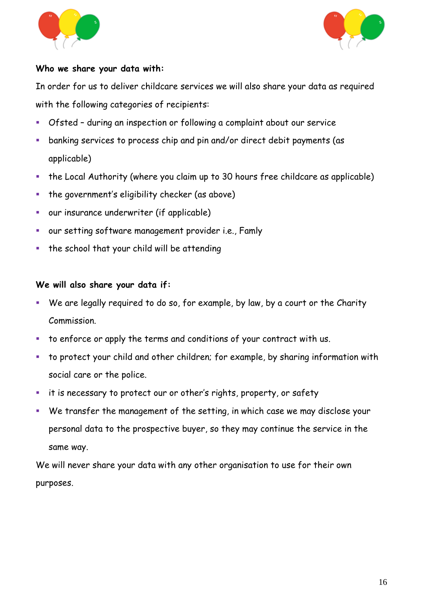



#### **Who we share your data with:**

In order for us to deliver childcare services we will also share your data as required with the following categories of recipients:

- Ofsted during an inspection or following a complaint about our service
- **EXEDENT ENDERIST LARKING SET US ADDED** banking services to process chip and pin and/or direct debit payments (as applicable)
- the Local Authority (where you claim up to 30 hours free childcare as applicable)
- **•** the government's eligibility checker (as above)
- our insurance underwriter (if applicable)
- our setting software management provider i.e., Famly
- the school that your child will be attending

# **We will also share your data if:**

- We are legally required to do so, for example, by law, by a court or the Charity Commission.
- to enforce or apply the terms and conditions of your contract with us.
- to protect your child and other children; for example, by sharing information with social care or the police.
- it is necessary to protect our or other's rights, property, or safety
- We transfer the management of the setting, in which case we may disclose your personal data to the prospective buyer, so they may continue the service in the same way.

We will never share your data with any other organisation to use for their own purposes.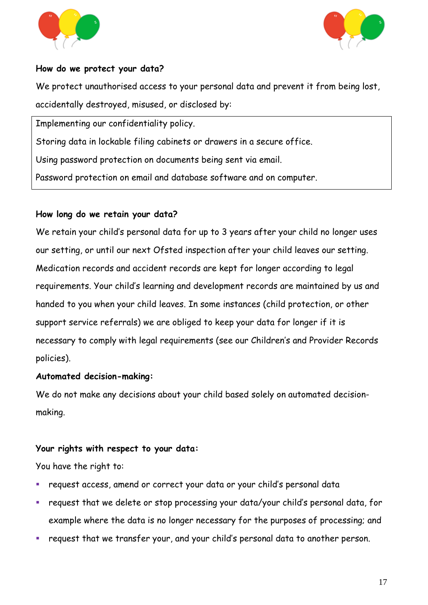



#### **How do we protect your data?**

We protect unauthorised access to your personal data and prevent it from being lost, accidentally destroyed, misused, or disclosed by:

Implementing our confidentiality policy.

Storing data in lockable filing cabinets or drawers in a secure office.

Using password protection on documents being sent via email.

Password protection on email and database software and on computer.

#### **How long do we retain your data?**

We retain your child's personal data for up to 3 years after your child no longer uses our setting, or until our next Ofsted inspection after your child leaves our setting. Medication records and accident records are kept for longer according to legal requirements. Your child's learning and development records are maintained by us and handed to you when your child leaves. In some instances (child protection, or other support service referrals) we are obliged to keep your data for longer if it is necessary to comply with legal requirements (see our Children's and Provider Records policies).

#### **Automated decision-making:**

We do not make any decisions about your child based solely on automated decisionmaking.

#### **Your rights with respect to your data:**

You have the right to:

- request access, amend or correct your data or your child's personal data
- request that we delete or stop processing your data/your child's personal data, for example where the data is no longer necessary for the purposes of processing; and
- request that we transfer your, and your child's personal data to another person.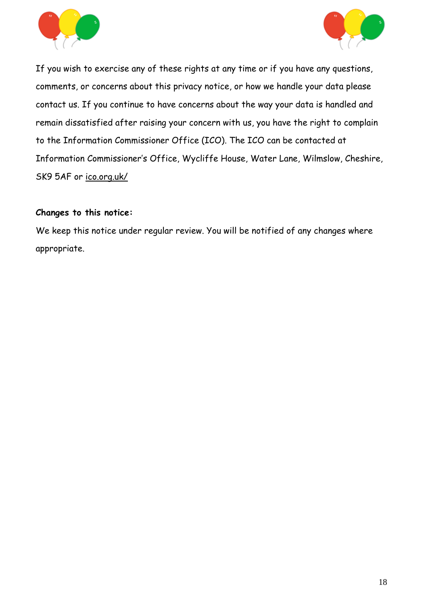



If you wish to exercise any of these rights at any time or if you have any questions, comments, or concerns about this privacy notice, or how we handle your data please contact us. If you continue to have concerns about the way your data is handled and remain dissatisfied after raising your concern with us, you have the right to complain to the Information Commissioner Office (ICO). The ICO can be contacted at Information Commissioner's Office, Wycliffe House, Water Lane, Wilmslow, Cheshire, SK9 5AF or [ico.org.uk/](https://ico.org.uk/)

#### **Changes to this notice:**

We keep this notice under regular review. You will be notified of any changes where appropriate.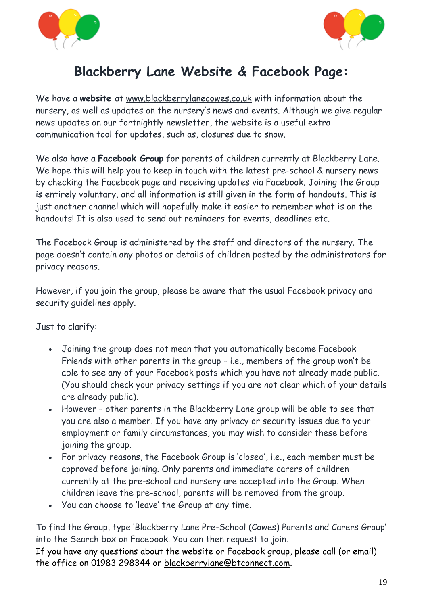



# **Blackberry Lane Website & Facebook Page:**

We have a **website** at [www.blackberrylanecowes.co.uk](about:blank) with information about the nursery, as well as updates on the nursery's news and events. Although we give regular news updates on our fortnightly newsletter, the website is a useful extra communication tool for updates, such as, closures due to snow.

We also have a **Facebook Group** for parents of children currently at Blackberry Lane. We hope this will help you to keep in touch with the latest pre-school & nursery news by checking the Facebook page and receiving updates via Facebook. Joining the Group is entirely voluntary, and all information is still given in the form of handouts. This is just another channel which will hopefully make it easier to remember what is on the handouts! It is also used to send out reminders for events, deadlines etc.

The Facebook Group is administered by the staff and directors of the nursery. The page doesn't contain any photos or details of children posted by the administrators for privacy reasons.

However, if you join the group, please be aware that the usual Facebook privacy and security guidelines apply.

Just to clarify:

- Joining the group does not mean that you automatically become Facebook Friends with other parents in the group – i.e., members of the group won't be able to see any of your Facebook posts which you have not already made public. (You should check your privacy settings if you are not clear which of your details are already public).
- However other parents in the Blackberry Lane group will be able to see that you are also a member. If you have any privacy or security issues due to your employment or family circumstances, you may wish to consider these before joining the group.
- For privacy reasons, the Facebook Group is 'closed', i.e., each member must be approved before joining. Only parents and immediate carers of children currently at the pre-school and nursery are accepted into the Group. When children leave the pre-school, parents will be removed from the group.
- You can choose to 'leave' the Group at any time.

To find the Group, type 'Blackberry Lane Pre-School (Cowes) Parents and Carers Group' into the Search box on Facebook. You can then request to join.

If you have any questions about the website or Facebook group, please call (or email) the office on 01983 298344 or [blackberrylane@btconnect.com.](mailto:blackberrylane@btconnect.com)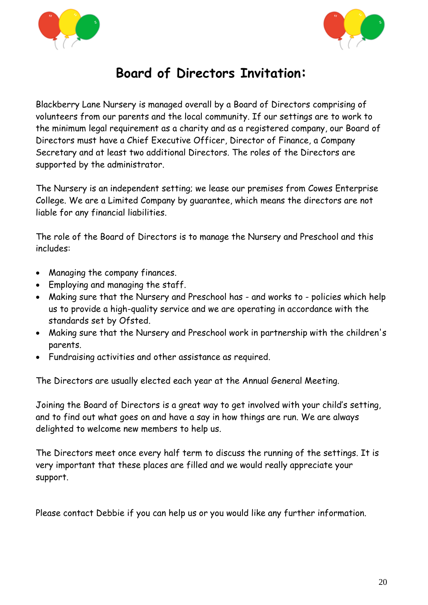



# **Board of Directors Invitation:**

Blackberry Lane Nursery is managed overall by a Board of Directors comprising of volunteers from our parents and the local community. If our settings are to work to the minimum legal requirement as a charity and as a registered company, our Board of Directors must have a Chief Executive Officer, Director of Finance, a Company Secretary and at least two additional Directors. The roles of the Directors are supported by the administrator.

The Nursery is an independent setting; we lease our premises from Cowes Enterprise College. We are a Limited Company by guarantee, which means the directors are not liable for any financial liabilities.

The role of the Board of Directors is to manage the Nursery and Preschool and this includes:

- Managing the company finances.
- Employing and managing the staff.
- Making sure that the Nursery and Preschool has and works to policies which help us to provide a high-quality service and we are operating in accordance with the standards set by Ofsted.
- Making sure that the Nursery and Preschool work in partnership with the children's parents.
- Fundraising activities and other assistance as required.

The Directors are usually elected each year at the Annual General Meeting.

Joining the Board of Directors is a great way to get involved with your child's setting, and to find out what goes on and have a say in how things are run. We are always delighted to welcome new members to help us.

The Directors meet once every half term to discuss the running of the settings. It is very important that these places are filled and we would really appreciate your support.

Please contact Debbie if you can help us or you would like any further information.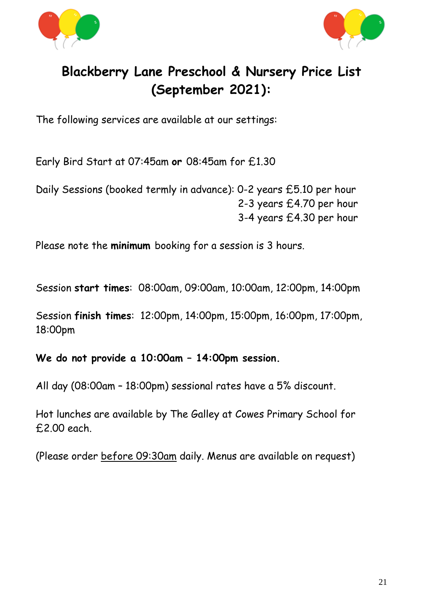



# **Blackberry Lane Preschool & Nursery Price List (September 2021):**

The following services are available at our settings:

Early Bird Start at 07:45am **or** 08:45am for £1.30

Daily Sessions (booked termly in advance): 0-2 years £5.10 per hour 2-3 years £4.70 per hour 3-4 years £4.30 per hour

Please note the **minimum** booking for a session is 3 hours.

Session **start times**: 08:00am, 09:00am, 10:00am, 12:00pm, 14:00pm

Session **finish times**: 12:00pm, 14:00pm, 15:00pm, 16:00pm, 17:00pm, 18:00pm

**We do not provide a 10:00am – 14:00pm session.**

All day (08:00am – 18:00pm) sessional rates have a 5% discount.

Hot lunches are available by The Galley at Cowes Primary School for £2.00 each.

(Please order before 09:30am daily. Menus are available on request)